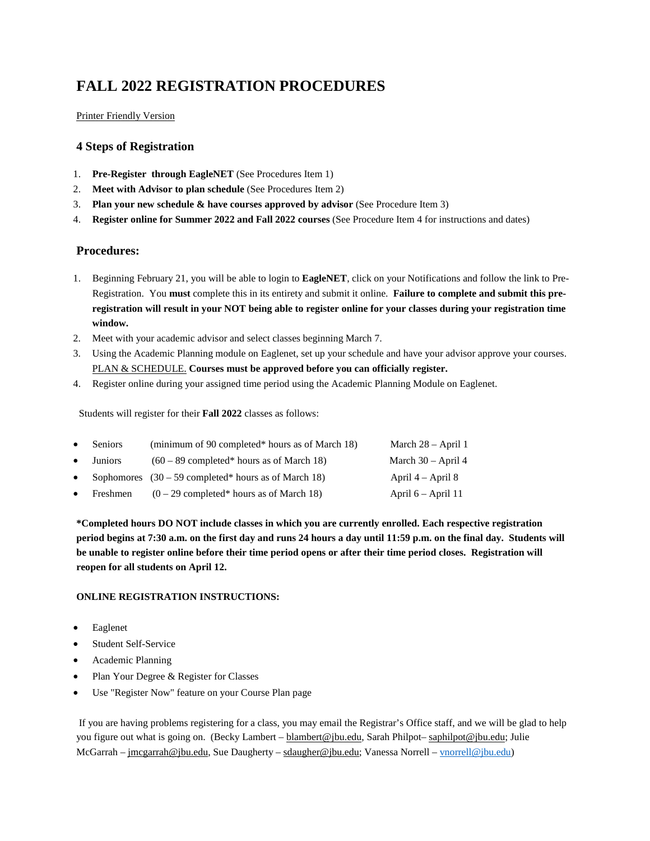# **FALL 2022 REGISTRATION PROCEDURES**

## [Printer Friendly Version](http://www.jbu.edu/assets/registrar/resource/file/Registration_Procedures.pdf)

## **4 Steps of Registration**

- 1. **Pre-Register through EagleNET** (See Procedures Item 1)
- 2. **Meet with Advisor to plan schedule** (See Procedures Item 2)
- 3. **Plan your new schedule & have courses approved by advisor** (See Procedure Item 3)
- 4. **Register online for Summer 2022 and Fall 2022 courses** (See Procedure Item 4 for instructions and dates)

## **Procedures:**

- 1. Beginning February 21, you will be able to login to **EagleNET**, click on your Notifications and follow the link to Pre-Registration. You **must** complete this in its entirety and submit it online. **Failure to complete and submit this preregistration will result in your NOT being able to register online for your classes during your registration time window.**
- 2. Meet with your academic advisor and select classes beginning March 7.
- 3. Using the Academic Planning module on Eaglenet, set up your schedule and have your advisor approve your courses[.](http://www.jbu.edu/assets/registrar/resource/file/Steps_for_Student_Planning_Registration.pdf) [PLAN & SCHEDULE.](http://www.jbu.edu/assets/registrar/resource/file/Steps_for_Student_Planning_Registration.pdf) **Courses must be approved before you can officially register.**
- 4. Register online during your assigned time period using the Academic Planning Module on Eaglenet.

Students will register for their **Fall 2022** classes as follows:

| $\bullet$ | <b>Seniors</b> | (minimum of 90 completed* hours as of March 18)        | March $28 -$ April 1  |
|-----------|----------------|--------------------------------------------------------|-----------------------|
| $\bullet$ | <b>Juniors</b> | $(60 - 89$ completed* hours as of March 18)            | March $30 -$ April 4  |
| $\bullet$ |                | Sophomores $(30 - 59$ completed* hours as of March 18) | April $4 -$ April $8$ |
| $\bullet$ | Freshmen       | $(0-29$ completed* hours as of March 18)               | April $6 -$ April 11  |

**\*Completed hours DO NOT include classes in which you are currently enrolled. Each respective registration period begins at 7:30 a.m. on the first day and runs 24 hours a day until 11:59 p.m. on the final day. Students will be unable to register online before their time period opens or after their time period closes. Registration will reopen for all students on April 12.**

## **ONLINE REGISTRATION INSTRUCTIONS:**

- Eaglenet
- Student Self-Service
- Academic Planning
- Plan Your Degree & Register for Classes
- Use "Register Now" feature on your Course Plan page

If you are having problems registering for a class, you may email the Registrar's Office staff, and we will be glad to help you figure out what is going on. (Becky Lambert – [blambert@jbu.edu,](mailto:blambert@jbu.edu) Sarah Philpot– [saphilpot@jbu.edu;](mailto:saphilpot@jbu.edu) Julie McGarrah – [jmcgarrah@jbu.edu,](mailto:jmcgarrah@jbu.edu) Sue Daugherty – [sdaugher@jbu.edu;](mailto:sdaugher@jbu.edu) Vanessa Norrell – [vnorrell@jbu.edu\)](mailto:vnorrell@jbu.edu)